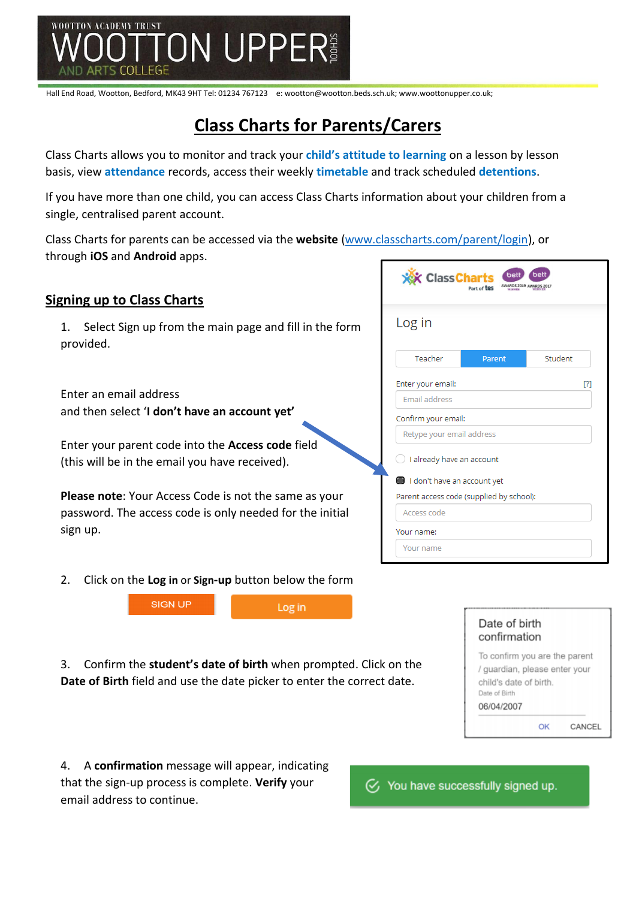

# **Class Charts for Parents/Carers**

Class Charts allows you to monitor and track your **child's attitude to learning** on a lesson by lesson basis, view **attendance** records, access their weekly **timetable** and track scheduled **detentions**.

If you have more than one child, you can access Class Charts information about your children from a single, centralised parent account.

Class Charts for parents can be accessed via the **website** [\(www.classcharts.com/parent/login\)](http://www.classcharts.com/parent/login), or through **iOS** and **Android** apps.

## **Signing up to Class Charts**

1. Select Sign up from the main page and fill in the form provided.

Enter an email address and then select '**I don't have an account yet'**

Enter your parent code into the **Access code** field (this will be in the email you have received).

**Please note**: Your Access Code is not the same as your password. The access code is only needed for the initial sign up.



2. Click on the **Log in** or **Sign-up** button below the form



3. Confirm the **student's date of birth** when prompted. Click on the **Date of Birth** field and use the date picker to enter the correct date.

| Date of birth<br>confirmation                                                                                           |      |
|-------------------------------------------------------------------------------------------------------------------------|------|
| To confirm you are the parent<br>/ guardian, please enter your<br>child's date of birth.<br>Date of Birth<br>06/04/2007 |      |
|                                                                                                                         | CANC |

4. A **confirmation** message will appear, indicating that the sign-up process is complete. **Verify** your email address to continue.

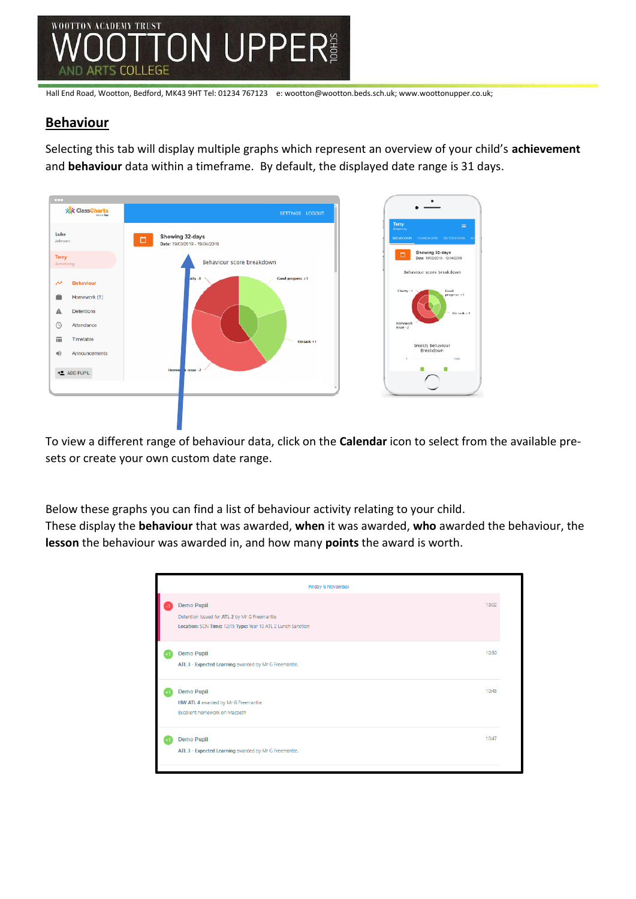

## **Behaviour**

Selecting this tab will display multiple graphs which represent an overview of your child's **achievement** and **behaviour** data within a timeframe. By default, the displayed date range is 31 days.



To view a different range of behaviour data, click on the **Calendar** icon to select from the available presets or create your own custom date range.

Below these graphs you can find a list of behaviour activity relating to your child. These display the **behaviour** that was awarded, **when** it was awarded, **who** awarded the behaviour, the **lesson** the behaviour was awarded in, and how many **points** the award is worth.

| 13:02<br><b>Demo Pupil</b><br>Detention issued for ATL 2 by Mr G Freemantle<br>Location: SCN Time: 12:15 Type: Year 10 ATL 2 Lunch Sanction<br>10:50<br><b>Demo Pupil</b><br>ATL 3 - Expected Learning awarded by Mr G Freemantle.<br>10:48<br><b>Demo Pupil</b><br>HW ATL 4 awarded by Mr G Freemantle.<br>Excellent homework on Macbeth<br>10:47<br><b>Demo Pupil</b><br>ATL 3 - Expected Learning awarded by Mr G Freemantle. | Friday 6 November |  |  |  |  |
|----------------------------------------------------------------------------------------------------------------------------------------------------------------------------------------------------------------------------------------------------------------------------------------------------------------------------------------------------------------------------------------------------------------------------------|-------------------|--|--|--|--|
|                                                                                                                                                                                                                                                                                                                                                                                                                                  |                   |  |  |  |  |
|                                                                                                                                                                                                                                                                                                                                                                                                                                  |                   |  |  |  |  |
|                                                                                                                                                                                                                                                                                                                                                                                                                                  |                   |  |  |  |  |
|                                                                                                                                                                                                                                                                                                                                                                                                                                  |                   |  |  |  |  |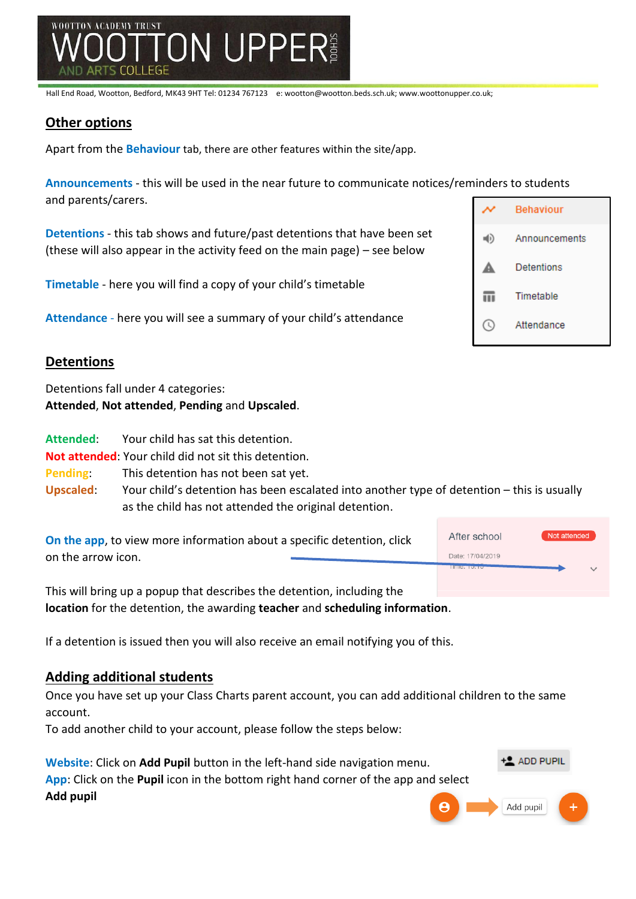

#### **Other options**

Apart from the **Behaviour** tab, there are other features within the site/app.

**Announcements** - this will be used in the near future to communicate notices/reminders to students and parents/carers.

| Detentions - this tab shows and future/past detentions that have been set<br>(these will also appear in the activity feed on the main page) $-$ see below |  |
|-----------------------------------------------------------------------------------------------------------------------------------------------------------|--|
| <b>Timetable</b> - here you will find a copy of your child's timetable                                                                                    |  |

**Attendance** - here you will see a summary of your child's attendance

#### **Detentions**

Detentions fall under 4 categories: **Attended**, **Not attended**, **Pending** and **Upscaled**.

**Attended**: Your child has sat this detention.

**Not attended**: Your child did not sit this detention.

**Pending**: This detention has not been sat yet.

**Upscaled**: Your child's detention has been escalated into another type of detention – this is usually as the child has not attended the original detention.

| On the app, to view more information about a specific detention, click | After school            | Not attended |
|------------------------------------------------------------------------|-------------------------|--------------|
| on the arrow icon.                                                     | Date: 17/04/2019        |              |
|                                                                        | <b>HILL CAR EXAMPLE</b> |              |
|                                                                        |                         |              |

This will bring up a popup that describes the detention, including the **location** for the detention, the awarding **teacher** and **scheduling information**.

If a detention is issued then you will also receive an email notifying you of this.

#### **Adding additional students**

Once you have set up your Class Charts parent account, you can add additional children to the same account.

To add another child to your account, please follow the steps below:

| Website: Click on Add Pupil button in the left-hand side navigation menu.          | $+2$ ADD PUPIL |
|------------------------------------------------------------------------------------|----------------|
| App: Click on the Pupil icon in the bottom right hand corner of the app and select |                |
| Add pupil                                                                          | B Add pupil    |